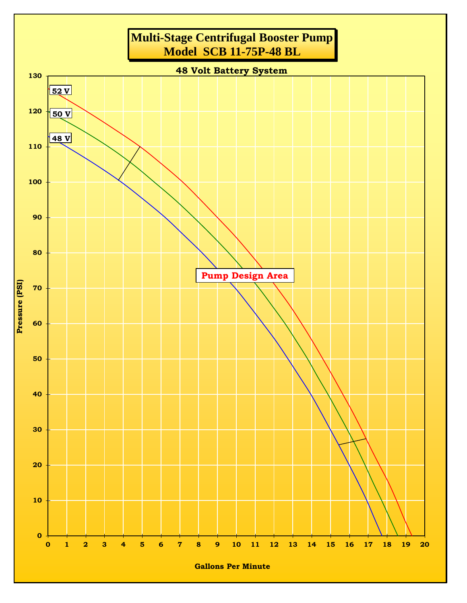